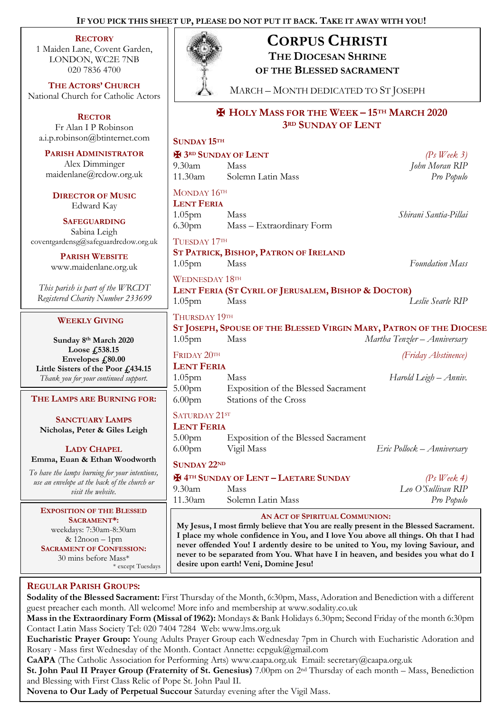# **IF YOU PICK THIS SHEET UP, PLEASE DO NOT PUT IT BACK. TAKE IT AWAY WITH YOU!**

### **RECTORY**

1 Maiden Lane, Covent Garden, LONDON, WC2E 7NB 020 7836 4700

**THE ACTORS' CHURCH** National Church for Catholic Actors

**RECTOR** Fr Alan I P Robinson [a.i.p.robinson@btinternet.com](mailto:a.i.p.robinson@btinternet.com)

**PARISH ADMINISTRATOR** Alex Dimminger maidenlane@rcdow.org.uk

**DIRECTOR OF MUSIC** Edward Kay

**SAFEGUARDING** Sabina Leigh [coventgardensg@safeguardrcdow.org.uk](mailto:coventgardensg@safeguardrcdow.org.uk)

> **PARISH WEBSITE** [www.maidenlane.org.uk](http://www.maidenlane.org.uk/)

*This parish is part of the WRCDT Registered Charity Number 233699*

## **WEEKLY GIVING**

**Sunday 8 th March 2020 Loose £538.15 Envelopes £80.00 Little Sisters of the Poor £434.15** *Thank you for your continued support.*

### **THE LAMPS ARE BURNING FOR:**

**SANCTUARY LAMPS Nicholas, Peter & Giles Leigh**

**LADY CHAPEL Emma, Euan & Ethan Woodworth**

*To have the lamps burning for your intentions, use an envelope at the back of the church or visit the website.*

**EXPOSITION OF THE BLESSED SACRAMENT\*:** weekdays: 7:30am-8:30am & 12noon – 1pm **SACRAMENT OF CONFESSION:**  30 mins before Mass\* \* except Tuesdays

# 9.30am Mass *John Moran RIP* 11.30am Solemn Latin Mass *Pro Populo* MONDAY 16TH **LENT FERIA** 1.05pm Mass *Shirani Santia-Pillai* 6.30pm Mass – Extraordinary Form TUESDAY 17TH **ST PATRICK, BISHOP, PATRON OF IRELAND** 1.05pm Mass *Foundation Mass* WEDNESDAY 18TH **LENT FERIA (ST CYRIL OF JERUSALEM, BISHOP & DOCTOR)** 1.05pm Mass *Leslie Searle RIP* THURSDAY 19TH **ST JOSEPH, SPOUSE OF THE BLESSED VIRGIN MARY, PATRON OF THE DIOCESE** 1.05pm Mass *Martha Tenzler – Anniversary* FRIDAY 20TH *(Friday Abstinence)* **LENT FERIA** 1.05pm Mass *Harold Leigh – Anniv.* 5.00pm Exposition of the Blessed Sacrament 6.00pm Stations of the Cross SATURDAY 21ST **LENT FERIA** 5.00pm Exposition of the Blessed Sacrament 6.00pm Vigil Mass *Eric Pollock – Anniversary* **SUNDAY 22ND** ✠ **4TH SUNDAY OF LENT – LAETARE SUNDAY** *(Ps Week 4)*

9.30am Mass *Leo O'Sullivan RIP* 11.30am Solemn Latin Mass *Pro Populo*

## **AN ACT OF SPIRITUAL COMMUNION:**

**My Jesus, I most firmly believe that You are really present in the Blessed Sacrament. I place my whole confidence in You, and I love You above all things. Oh that I had never offended You! I ardently desire to be united to You, my loving Saviour, and never to be separated from You. What have I in heaven, and besides you what do I desire upon earth! Veni, Domine Jesu!**

# **REGULAR PARISH GROUPS:**

**Sodality of the Blessed Sacrament:** First Thursday of the Month, 6:30pm, Mass, Adoration and Benediction with a different guest preacher each month. All welcome! More info and membership at www.sodality.co.uk

**Mass in the Extraordinary Form (Missal of 1962):** Mondays & Bank Holidays 6.30pm; Second Friday of the month 6:30pm Contact Latin Mass Society Tel: 020 7404 7284 Web: www.lms.org.uk

**Eucharistic Prayer Group:** Young Adults Prayer Group each Wednesday 7pm in Church with Eucharistic Adoration and Rosary - Mass first Wednesday of the Month. Contact Annette: ccpguk@gmail.com

**CaAPA** (The Catholic Association for Performing Arts) www.caapa.org.uk Email: secretary@caapa.org.uk

**St. John Paul II Prayer Group (Fraternity of St. Genesius)** 7.00pm on 2nd Thursday of each month – Mass, Benediction and Blessing with First Class Relic of Pope St. John Paul II.

**Novena to Our Lady of Perpetual Succour** Saturday evening after the Vigil Mass.



**SUNDAY 15TH**

# **CORPUS CHRISTI**

**THE DIOCESAN SHRINE** 

**OF THE BLESSED SACRAMENT**

MARCH – MONTH DEDICATED TO ST JOSEPH

✠ **3RD SUNDAY OF LENT** *(Ps Week 3)*

# ✠ **HOLY MASS FOR THE WEEK – 15TH MARCH 2020 3RD SUNDAY OF LENT**